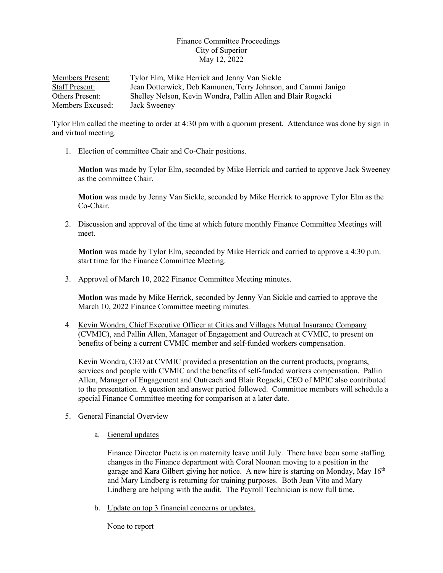## Finance Committee Proceedings City of Superior May 12, 2022

Members Present: Tylor Elm, Mike Herrick and Jenny Van Sickle Staff Present: Jean Dotterwick, Deb Kamunen, Terry Johnson, and Cammi Janigo Others Present: Shelley Nelson, Kevin Wondra, Pallin Allen and Blair Rogacki Members Excused: Jack Sweeney

Tylor Elm called the meeting to order at 4:30 pm with a quorum present. Attendance was done by sign in and virtual meeting.

1. Election of committee Chair and Co-Chair positions.

**Motion** was made by Tylor Elm, seconded by Mike Herrick and carried to approve Jack Sweeney as the committee Chair.

**Motion** was made by Jenny Van Sickle, seconded by Mike Herrick to approve Tylor Elm as the Co-Chair.

2. Discussion and approval of the time at which future monthly Finance Committee Meetings will meet.

**Motion** was made by Tylor Elm, seconded by Mike Herrick and carried to approve a 4:30 p.m. start time for the Finance Committee Meeting.

3. Approval of March 10, 2022 Finance Committee Meeting minutes.

**Motion** was made by Mike Herrick, seconded by Jenny Van Sickle and carried to approve the March 10, 2022 Finance Committee meeting minutes.

4. Kevin Wondra, Chief Executive Officer at Cities and Villages Mutual Insurance Company (CVMIC), and Pallin Allen, Manager of Engagement and Outreach at CVMIC, to present on benefits of being a current CVMIC member and self-funded workers compensation.

Kevin Wondra, CEO at CVMIC provided a presentation on the current products, programs, services and people with CVMIC and the benefits of self-funded workers compensation. Pallin Allen, Manager of Engagement and Outreach and Blair Rogacki, CEO of MPIC also contributed to the presentation. A question and answer period followed. Committee members will schedule a special Finance Committee meeting for comparison at a later date.

- 5. General Financial Overview
	- a. General updates

Finance Director Puetz is on maternity leave until July. There have been some staffing changes in the Finance department with Coral Noonan moving to a position in the garage and Kara Gilbert giving her notice. A new hire is starting on Monday, May 16<sup>th</sup> and Mary Lindberg is returning for training purposes. Both Jean Vito and Mary Lindberg are helping with the audit. The Payroll Technician is now full time.

b. Update on top 3 financial concerns or updates.

None to report